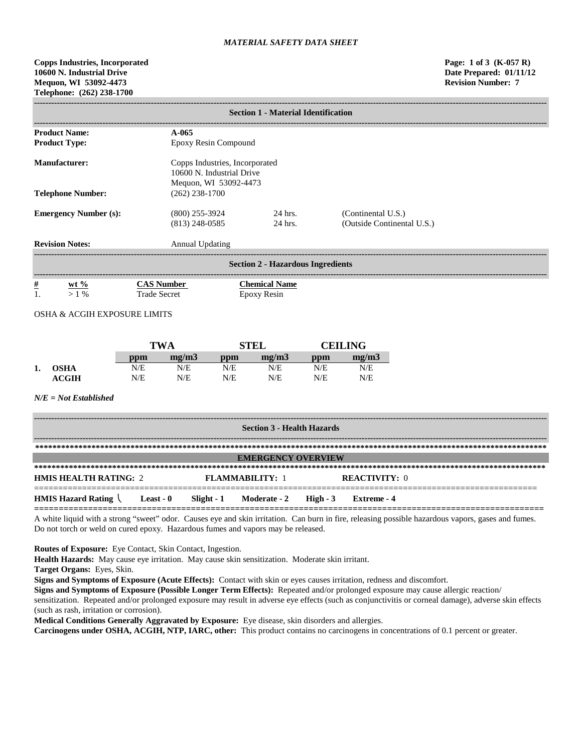**Copps Industries, Incorporated Page: 1 of 3 (K-057 R) 10600 N. Industrial Drive Date Prepared: 01/11/12 Mequon, WI 53092-4473 Revision Number: 7 Telephone: (262) 238-1700**

| <b>Section 1 - Material Identification</b> |                                          |                                                                                      |                                                  |  |  |  |  |
|--------------------------------------------|------------------------------------------|--------------------------------------------------------------------------------------|--------------------------------------------------|--|--|--|--|
| <b>Product Name:</b>                       | A-065                                    |                                                                                      |                                                  |  |  |  |  |
| <b>Product Type:</b>                       | Epoxy Resin Compound                     |                                                                                      |                                                  |  |  |  |  |
| <b>Manufacturer:</b>                       |                                          | Copps Industries, Incorporated<br>10600 N. Industrial Drive<br>Mequon, WI 53092-4473 |                                                  |  |  |  |  |
| <b>Telephone Number:</b>                   | $(262)$ 238-1700                         |                                                                                      |                                                  |  |  |  |  |
| <b>Emergency Number (s):</b>               | $(800)$ 255-3924<br>$(813)$ 248-0585     | 24 hrs.<br>24 hrs.                                                                   | (Continental U.S.)<br>(Outside Continental U.S.) |  |  |  |  |
| <b>Revision Notes:</b>                     | <b>Annual Updating</b>                   |                                                                                      |                                                  |  |  |  |  |
|                                            |                                          | <b>Section 2 - Hazardous Ingredients</b>                                             |                                                  |  |  |  |  |
| $\frac{\#}{1}$<br>$wt %$<br>$>1\%$         | <b>CAS Number</b><br><b>Trade Secret</b> | <b>Chemical Name</b><br>Epoxy Resin                                                  |                                                  |  |  |  |  |

OSHA & ACGIH EXPOSURE LIMITS

|    |              |     | <b>TWA</b> |     | <b>STEL</b> |     | <b>CEILING</b> |  |
|----|--------------|-----|------------|-----|-------------|-----|----------------|--|
|    |              | ppm | mg/m3      | ppm | mg/m3       | ppm | mg/m3          |  |
| 1. | <b>OSHA</b>  | N/E | N/E        | N/E | N/E         | N/E | N/E            |  |
|    | <b>ACGIH</b> | N/E | N/E        | N/E | N/E         | N/E | N/E            |  |

#### *N/E = Not Established*

| <b>Section 3 - Health Hazards</b> |           |  |                                        |  |                      |  |
|-----------------------------------|-----------|--|----------------------------------------|--|----------------------|--|
|                                   |           |  |                                        |  |                      |  |
| <b>EMERGENCY OVERVIEW</b>         |           |  |                                        |  |                      |  |
|                                   |           |  |                                        |  |                      |  |
| <b>HMIS HEALTH RATING: 2</b>      |           |  | <b>FLAMMARILITY: 1</b>                 |  | <b>REACTIVITY:</b> 0 |  |
| <b>HMIS Hazard Rating</b>         | Least - 0 |  | Slight - $1$ Moderate - $2$ High - $3$ |  | Extreme - 4          |  |

A white liquid with a strong "sweet" odor. Causes eye and skin irritation. Can burn in fire, releasing possible hazardous vapors, gases and fumes. Do not torch or weld on cured epoxy. Hazardous fumes and vapors may be released.

**Routes of Exposure:** Eye Contact, Skin Contact, Ingestion.

**Health Hazards:** May cause eye irritation. May cause skin sensitization. Moderate skin irritant.

**Target Organs:** Eyes, Skin.

**Signs and Symptoms of Exposure (Acute Effects):** Contact with skin or eyes causes irritation, redness and discomfort.

**Signs and Symptoms of Exposure (Possible Longer Term Effects):** Repeated and/or prolonged exposure may cause allergic reaction/

sensitization. Repeated and/or prolonged exposure may result in adverse eye effects (such as conjunctivitis or corneal damage), adverse skin effects (such as rash, irritation or corrosion).

**Medical Conditions Generally Aggravated by Exposure:** Eye disease, skin disorders and allergies.

**Carcinogens under OSHA, ACGIH, NTP, IARC, other:** This product contains no carcinogens in concentrations of 0.1 percent or greater.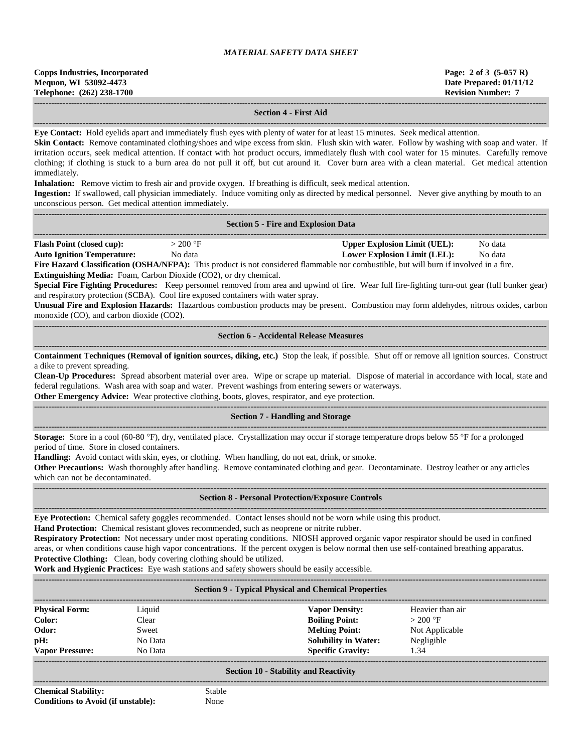**------------------------------------------------------------------------------------------------------------------------------------------------------------------------------------**

#### **Section 4 - First Aid**

**------------------------------------------------------------------------------------------------------------------------------------------------------------------------------------**

**Eye Contact:** Hold eyelids apart and immediately flush eyes with plenty of water for at least 15 minutes. Seek medical attention.

Skin Contact: Remove contaminated clothing/shoes and wipe excess from skin. Flush skin with water. Follow by washing with soap and water. If irritation occurs, seek medical attention. If contact with hot product occurs, immediately flush with cool water for 15 minutes. Carefully remove clothing; if clothing is stuck to a burn area do not pull it off, but cut around it. Cover burn area with a clean material. Get medical attention immediately.

**Inhalation:** Remove victim to fresh air and provide oxygen. If breathing is difficult, seek medical attention.

**Ingestion:** If swallowed, call physician immediately. Induce vomiting only as directed by medical personnel. Never give anything by mouth to an unconscious person. Get medical attention immediately.

|                                                                                                                                                                                                                                                                                                                                                                                                                                                                                                                                                                                                                                                                                                                                                          |                                                                                                                                                                                | <b>Section 5 - Fire and Explosion Data</b>                                                                                                                                                                                                                                                                                                                                                                                                                                                                         |                    |  |  |
|----------------------------------------------------------------------------------------------------------------------------------------------------------------------------------------------------------------------------------------------------------------------------------------------------------------------------------------------------------------------------------------------------------------------------------------------------------------------------------------------------------------------------------------------------------------------------------------------------------------------------------------------------------------------------------------------------------------------------------------------------------|--------------------------------------------------------------------------------------------------------------------------------------------------------------------------------|--------------------------------------------------------------------------------------------------------------------------------------------------------------------------------------------------------------------------------------------------------------------------------------------------------------------------------------------------------------------------------------------------------------------------------------------------------------------------------------------------------------------|--------------------|--|--|
| <b>Flash Point (closed cup):</b><br><b>Auto Ignition Temperature:</b><br>monoxide (CO), and carbon dioxide (CO2).                                                                                                                                                                                                                                                                                                                                                                                                                                                                                                                                                                                                                                        | $>200$ °F<br>No data<br>Extinguishing Media: Foam, Carbon Dioxide (CO2), or dry chemical.<br>and respiratory protection (SCBA). Cool fire exposed containers with water spray. | <b>Upper Explosion Limit (UEL):</b><br><b>Lower Explosion Limit (LEL):</b><br>Fire Hazard Classification (OSHA/NFPA): This product is not considered flammable nor combustible, but will burn if involved in a fire.<br>Special Fire Fighting Procedures: Keep personnel removed from area and upwind of fire. Wear full fire-fighting turn-out gear (full bunker gear)<br>Unusual Fire and Explosion Hazards: Hazardous combustion products may be present. Combustion may form aldehydes, nitrous oxides, carbon | No data<br>No data |  |  |
|                                                                                                                                                                                                                                                                                                                                                                                                                                                                                                                                                                                                                                                                                                                                                          |                                                                                                                                                                                | <b>Section 6 - Accidental Release Measures</b>                                                                                                                                                                                                                                                                                                                                                                                                                                                                     |                    |  |  |
| a dike to prevent spreading.                                                                                                                                                                                                                                                                                                                                                                                                                                                                                                                                                                                                                                                                                                                             |                                                                                                                                                                                | Containment Techniques (Removal of ignition sources, diking, etc.) Stop the leak, if possible. Shut off or remove all ignition sources. Construct<br>Clean-Up Procedures: Spread absorbent material over area. Wipe or scrape up material. Dispose of material in accordance with local, state and<br>federal regulations. Wash area with soap and water. Prevent washings from entering sewers or waterways.<br>Other Emergency Advice: Wear protective clothing, boots, gloves, respirator, and eye protection.  |                    |  |  |
|                                                                                                                                                                                                                                                                                                                                                                                                                                                                                                                                                                                                                                                                                                                                                          |                                                                                                                                                                                | <b>Section 7 - Handling and Storage</b>                                                                                                                                                                                                                                                                                                                                                                                                                                                                            |                    |  |  |
| period of time. Store in closed containers.<br>which can not be decontaminated.                                                                                                                                                                                                                                                                                                                                                                                                                                                                                                                                                                                                                                                                          |                                                                                                                                                                                | <b>Storage:</b> Store in a cool (60-80 °F), dry, ventilated place. Crystallization may occur if storage temperature drops below 55 °F for a prolonged<br>Handling: Avoid contact with skin, eyes, or clothing. When handling, do not eat, drink, or smoke.<br>Other Precautions: Wash thoroughly after handling. Remove contaminated clothing and gear. Decontaminate. Destroy leather or any articles                                                                                                             |                    |  |  |
|                                                                                                                                                                                                                                                                                                                                                                                                                                                                                                                                                                                                                                                                                                                                                          |                                                                                                                                                                                | <b>Section 8 - Personal Protection/Exposure Controls</b>                                                                                                                                                                                                                                                                                                                                                                                                                                                           |                    |  |  |
| Eye Protection: Chemical safety goggles recommended. Contact lenses should not be worn while using this product.<br>Hand Protection: Chemical resistant gloves recommended, such as neoprene or nitrite rubber.<br>Respiratory Protection: Not necessary under most operating conditions. NIOSH approved organic vapor respirator should be used in confined<br>areas, or when conditions cause high vapor concentrations. If the percent oxygen is below normal then use self-contained breathing apparatus.<br>Protective Clothing: Clean, body covering clothing should be utilized.<br>Work and Hygienic Practices: Eye wash stations and safety showers should be easily accessible.<br><b>Section 9 - Typical Physical and Chemical Properties</b> |                                                                                                                                                                                |                                                                                                                                                                                                                                                                                                                                                                                                                                                                                                                    |                    |  |  |
| <b>Physical Form:</b>                                                                                                                                                                                                                                                                                                                                                                                                                                                                                                                                                                                                                                                                                                                                    | Liquid                                                                                                                                                                         | <b>Vapor Density:</b>                                                                                                                                                                                                                                                                                                                                                                                                                                                                                              | Heavier than air   |  |  |
| Color:                                                                                                                                                                                                                                                                                                                                                                                                                                                                                                                                                                                                                                                                                                                                                   | Clear                                                                                                                                                                          | <b>Boiling Point:</b>                                                                                                                                                                                                                                                                                                                                                                                                                                                                                              | $>200$ °F          |  |  |
| Odor:                                                                                                                                                                                                                                                                                                                                                                                                                                                                                                                                                                                                                                                                                                                                                    | Sweet                                                                                                                                                                          | <b>Melting Point:</b>                                                                                                                                                                                                                                                                                                                                                                                                                                                                                              | Not Applicable     |  |  |
| pH:                                                                                                                                                                                                                                                                                                                                                                                                                                                                                                                                                                                                                                                                                                                                                      | No Data                                                                                                                                                                        | <b>Solubility in Water:</b>                                                                                                                                                                                                                                                                                                                                                                                                                                                                                        | Negligible         |  |  |

# **Vapor Pressure:** No Data **Specific Gravity:** 1.34 **------------------------------------------------------------------------------------------------------------------------------------------------------------------------------------ Section 10 - Stability and Reactivity ------------------------------------------------------------------------------------------------------------------------------------------------------------------------------------**

**Chemical Stability:** Stable **Conditions to Avoid (if unstable):** None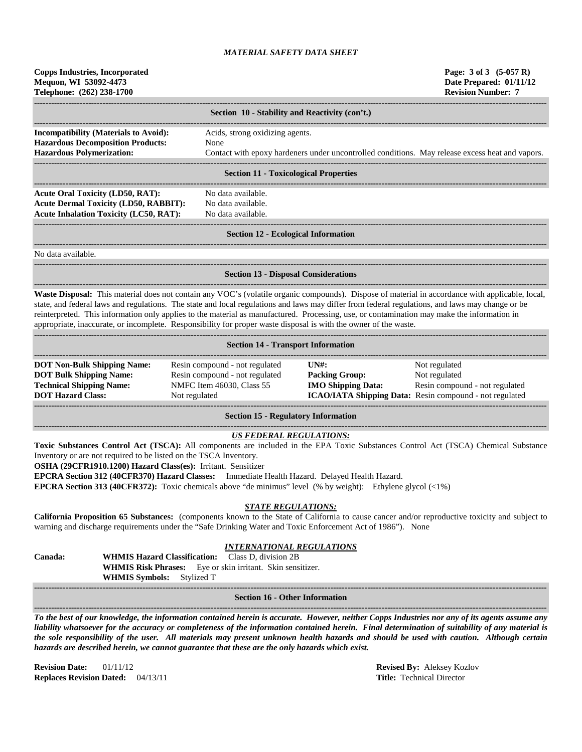| <b>Copps Industries, Incorporated</b><br>Mequon, WI 53092-4473<br>Telephone: (262) 238-1700                                                                                                                                                                                                                                                                         |               |                                                                                                                        |                           | Page: 3 of 3 (5-057 R)<br>Date Prepared: 01/11/12<br><b>Revision Number: 7</b>                                                                                                                                                                                                                       |
|---------------------------------------------------------------------------------------------------------------------------------------------------------------------------------------------------------------------------------------------------------------------------------------------------------------------------------------------------------------------|---------------|------------------------------------------------------------------------------------------------------------------------|---------------------------|------------------------------------------------------------------------------------------------------------------------------------------------------------------------------------------------------------------------------------------------------------------------------------------------------|
|                                                                                                                                                                                                                                                                                                                                                                     |               | Section 10 - Stability and Reactivity (con't.)                                                                         |                           |                                                                                                                                                                                                                                                                                                      |
| Incompatibility (Materials to Avoid):                                                                                                                                                                                                                                                                                                                               |               | Acids, strong oxidizing agents.                                                                                        |                           |                                                                                                                                                                                                                                                                                                      |
| <b>Hazardous Decomposition Products:</b>                                                                                                                                                                                                                                                                                                                            |               | None                                                                                                                   |                           |                                                                                                                                                                                                                                                                                                      |
| <b>Hazardous Polymerization:</b>                                                                                                                                                                                                                                                                                                                                    |               |                                                                                                                        |                           | Contact with epoxy hardeners under uncontrolled conditions. May release excess heat and vapors.                                                                                                                                                                                                      |
|                                                                                                                                                                                                                                                                                                                                                                     |               | <b>Section 11 - Toxicological Properties</b>                                                                           |                           |                                                                                                                                                                                                                                                                                                      |
| <b>Acute Oral Toxicity (LD50, RAT):</b>                                                                                                                                                                                                                                                                                                                             |               | No data available.                                                                                                     |                           |                                                                                                                                                                                                                                                                                                      |
| <b>Acute Dermal Toxicity (LD50, RABBIT):</b>                                                                                                                                                                                                                                                                                                                        |               | No data available.                                                                                                     |                           |                                                                                                                                                                                                                                                                                                      |
| <b>Acute Inhalation Toxicity (LC50, RAT):</b>                                                                                                                                                                                                                                                                                                                       |               | No data available.                                                                                                     |                           |                                                                                                                                                                                                                                                                                                      |
|                                                                                                                                                                                                                                                                                                                                                                     |               | <b>Section 12 - Ecological Information</b>                                                                             |                           |                                                                                                                                                                                                                                                                                                      |
| No data available.                                                                                                                                                                                                                                                                                                                                                  |               |                                                                                                                        |                           |                                                                                                                                                                                                                                                                                                      |
|                                                                                                                                                                                                                                                                                                                                                                     |               | <b>Section 13 - Disposal Considerations</b>                                                                            |                           |                                                                                                                                                                                                                                                                                                      |
| reinterpreted. This information only applies to the material as manufactured. Processing, use, or contamination may make the information in<br>appropriate, inaccurate, or incomplete. Responsibility for proper waste disposal is with the owner of the waste.                                                                                                     |               |                                                                                                                        |                           | Waste Disposal: This material does not contain any VOC's (volatile organic compounds). Dispose of material in accordance with applicable, local,<br>state, and federal laws and regulations. The state and local regulations and laws may differ from federal regulations, and laws may change or be |
|                                                                                                                                                                                                                                                                                                                                                                     |               | <b>Section 14 - Transport Information</b>                                                                              |                           |                                                                                                                                                                                                                                                                                                      |
| <b>DOT Non-Bulk Shipping Name:</b>                                                                                                                                                                                                                                                                                                                                  |               | Resin compound - not regulated                                                                                         | $UN#$ :                   | Not regulated                                                                                                                                                                                                                                                                                        |
| <b>DOT Bulk Shipping Name:</b>                                                                                                                                                                                                                                                                                                                                      |               | Resin compound - not regulated                                                                                         | <b>Packing Group:</b>     | Not regulated                                                                                                                                                                                                                                                                                        |
| <b>Technical Shipping Name:</b><br><b>DOT Hazard Class:</b>                                                                                                                                                                                                                                                                                                         | Not regulated | NMFC Item 46030, Class 55                                                                                              | <b>IMO Shipping Data:</b> | Resin compound - not regulated<br>ICAO/IATA Shipping Data: Resin compound - not regulated                                                                                                                                                                                                            |
|                                                                                                                                                                                                                                                                                                                                                                     |               | <b>Section 15 - Regulatory Information</b>                                                                             |                           |                                                                                                                                                                                                                                                                                                      |
|                                                                                                                                                                                                                                                                                                                                                                     |               |                                                                                                                        |                           |                                                                                                                                                                                                                                                                                                      |
| Inventory or are not required to be listed on the TSCA Inventory.<br>OSHA (29CFR1910.1200) Hazard Class(es): Irritant. Sensitizer<br>EPCRA Section 312 (40CFR370) Hazard Classes: Immediate Health Hazard. Delayed Health Hazard.<br><b>EPCRA Section 313 (40CFR372):</b> Toxic chemicals above "de minimus" level $(\%$ by weight): Ethylene glycol $\langle$ <1%) |               | <b>US FEDERAL REGULATIONS:</b>                                                                                         |                           | Toxic Substances Control Act (TSCA): All components are included in the EPA Toxic Substances Control Act (TSCA) Chemical Substance                                                                                                                                                                   |
| warning and discharge requirements under the "Safe Drinking Water and Toxic Enforcement Act of 1986"). None                                                                                                                                                                                                                                                         |               | <b>STATE REGULATIONS:</b>                                                                                              |                           | California Proposition 65 Substances: (components known to the State of California to cause cancer and/or reproductive toxicity and subject to                                                                                                                                                       |
| Canada:<br><b>WHMIS Hazard Classification:</b><br>WHMIS Symbols: Stylized T                                                                                                                                                                                                                                                                                         |               | <b>INTERNATIONAL REGULATIONS</b><br>Class D, division 2B<br>WHMIS Risk Phrases: Eye or skin irritant. Skin sensitizer. |                           |                                                                                                                                                                                                                                                                                                      |
|                                                                                                                                                                                                                                                                                                                                                                     |               | <b>Section 16 - Other Information</b>                                                                                  |                           |                                                                                                                                                                                                                                                                                                      |
|                                                                                                                                                                                                                                                                                                                                                                     |               |                                                                                                                        |                           | To the best of our knowledge, the information contained herein is accurate. However, neither Copps Industries nor any of its agents assume any                                                                                                                                                       |

*liability whatsoever for the accuracy or completeness of the information contained herein. Final determination of suitability of any material is the sole responsibility of the user. All materials may present unknown health hazards and should be used with caution. Although certain hazards are described herein, we cannot guarantee that these are the only hazards which exist.*

**Revision Date:** 01/11/12 **Revised By:** Aleksey Kozlov **Replaces Revision Dated:** 04/13/11 **Title: Technical Director**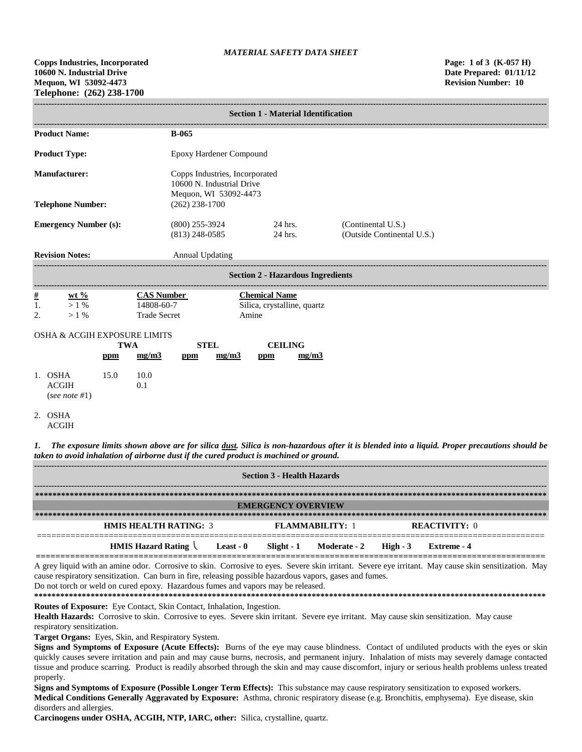|                      | <b>Section 1 - Material Identification</b>      |                   |                                                        |                                                             |                       |                               |                                          |                                                  |  |
|----------------------|-------------------------------------------------|-------------------|--------------------------------------------------------|-------------------------------------------------------------|-----------------------|-------------------------------|------------------------------------------|--------------------------------------------------|--|
|                      | <b>Product Name:</b>                            |                   |                                                        | <b>B-065</b>                                                |                       |                               |                                          |                                                  |  |
|                      | <b>Product Type:</b><br>Epoxy Hardener Compound |                   |                                                        |                                                             |                       |                               |                                          |                                                  |  |
|                      | <b>Manufacturer:</b>                            |                   |                                                        | Copps Industries, Incorporated<br>10600 N. Industrial Drive |                       |                               |                                          |                                                  |  |
|                      | <b>Telephone Number:</b>                        |                   |                                                        | $(262)$ 238-1700                                            | Mequon, WI 53092-4473 |                               |                                          |                                                  |  |
|                      | <b>Emergency Number (s):</b>                    |                   |                                                        | $(800)$ 255-3924<br>$(813)$ 248-0585                        |                       |                               | 24 hrs.<br>24 hrs.                       | (Continental U.S.)<br>(Outside Continental U.S.) |  |
|                      | <b>Revision Notes:</b>                          |                   |                                                        | <b>Annual Updating</b>                                      |                       |                               |                                          |                                                  |  |
|                      |                                                 |                   |                                                        |                                                             |                       |                               | <b>Section 2 - Hazardous Ingredients</b> |                                                  |  |
| $\frac{\#}{1}$<br>2. | wt $\%$<br>$>1\%$<br>$>1\%$                     |                   | <b>CAS Number</b><br>14808-60-7<br><b>Trade Secret</b> |                                                             |                       | <b>Chemical Name</b><br>Amine | Silica, crystalline, quartz              |                                                  |  |
|                      | <b>OSHA &amp; ACGIH EXPOSURE LIMITS</b>         | <b>TWA</b><br>ppm | mg/m3                                                  | ppm                                                         | <b>STEL</b><br>mg/m3  | ppm                           | <b>CEILING</b><br>mg/m3                  |                                                  |  |
|                      | 1. OSHA<br><b>ACGIH</b><br>(see note #1)        | 15.0              | 10.0<br>0.1                                            |                                                             |                       |                               |                                          |                                                  |  |

<sup>2.</sup> OSHA

*1. The exposure limits shown above are for silica dust. Silica is non-hazardous after it is blended into a liquid. Proper precautions should be taken to avoid inhalation of airborne dust if the cured product is machined or ground.*

| <b>Section 3 - Health Hazards</b>                                         |  |                        |  |                      |  |  |
|---------------------------------------------------------------------------|--|------------------------|--|----------------------|--|--|
|                                                                           |  |                        |  |                      |  |  |
| <b>EMERGENCY OVERVIEW</b>                                                 |  |                        |  |                      |  |  |
|                                                                           |  |                        |  |                      |  |  |
| <b>HMIS HEALTH RATING: 3</b>                                              |  | <b>FLAMMARILITY: 1</b> |  | <b>REACTIVITY: 0</b> |  |  |
| HMIS Hazard Rating $\setminus$ Least - 0 Slight - 1 Moderate - 2 High - 3 |  |                        |  | Extreme - 4          |  |  |

A grey liquid with an amine odor. Corrosive to skin. Corrosive to eyes. Severe skin irritant. Severe eye irritant. May cause skin sensitization. May cause respiratory sensitization. Can burn in fire, releasing possible hazardous vapors, gases and fumes.

Do not torch or weld on cured epoxy. Hazardous fumes and vapors may be released.

**\*\*\*\*\*\*\*\*\*\*\*\*\*\*\*\*\*\*\*\*\*\*\*\*\*\*\*\*\*\*\*\*\*\*\*\*\*\*\*\*\*\*\*\*\*\*\*\*\*\*\*\*\*\*\*\*\*\*\*\*\*\*\*\*\*\*\*\*\*\*\*\*\*\*\*\*\*\*\*\*\*\*\*\*\*\*\*\*\*\*\*\*\*\*\*\*\*\*\*\*\*\*\*\*\*\*\*\*\*\*\*\*\*\*\*\*\*\* Routes of Exposure:** Eye Contact, Skin Contact, Inhalation, Ingestion.

Health Hazards: Corrosive to skin. Corrosive to eyes. Severe skin irritant. Severe eye irritant. May cause skin sensitization. May cause respiratory sensitization.

**Target Organs:** Eyes, Skin, and Respiratory System.

**Signs and Symptoms of Exposure (Acute Effects):** Burns of the eye may cause blindness. Contact of undiluted products with the eyes or skin quickly causes severe irritation and pain and may cause burns, necrosis, and permanent injury. Inhalation of mists may severely damage contacted tissue and produce scarring. Product is readily absorbed through the skin and may cause discomfort, injury or serious health problems unless treated properly.

**Signs and Symptoms of Exposure (Possible Longer Term Effects):** This substance may cause respiratory sensitization to exposed workers. **Medical Conditions Generally Aggravated by Exposure:** Asthma, chronic respiratory disease (e.g. Bronchitis, emphysema). Eye disease, skin disorders and allergies.

**Carcinogens under OSHA, ACGIH, NTP, IARC, other:** Silica, crystalline, quartz.

ACGIH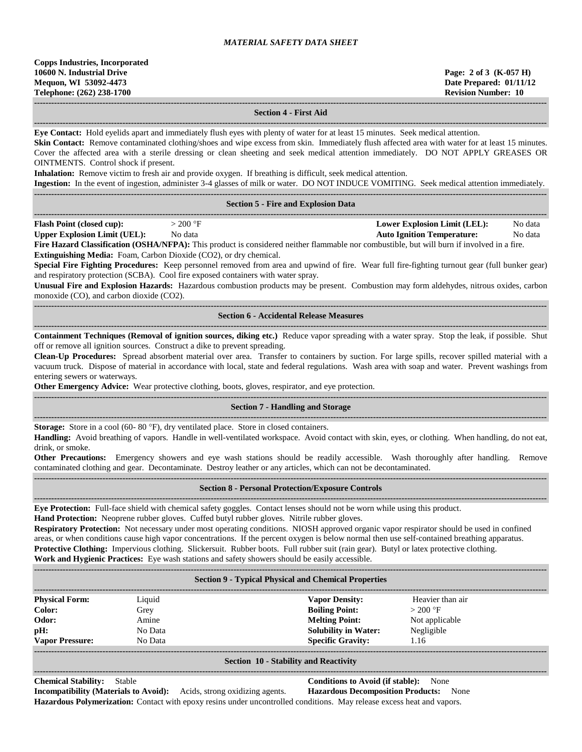**------------------------------------------------------------------------------------------------------------------------------------------------------------------------------------ Section 4 - First Aid**

**------------------------------------------------------------------------------------------------------------------------------------------------------------------------------------ Eye Contact:** Hold eyelids apart and immediately flush eyes with plenty of water for at least 15 minutes. Seek medical attention.

**Skin Contact:** Remove contaminated clothing/shoes and wipe excess from skin. Immediately flush affected area with water for at least 15 minutes. Cover the affected area with a sterile dressing or clean sheeting and seek medical attention immediately. DO NOT APPLY GREASES OR OINTMENTS. Control shock if present.

**Inhalation:** Remove victim to fresh air and provide oxygen. If breathing is difficult, seek medical attention.

**Ingestion:** In the event of ingestion, administer 3-4 glasses of milk or water. DO NOT INDUCE VOMITING. Seek medical attention immediately.

|                                                                           |                                                                                                                                                                                                                                                                | <b>Ingestion:</b> In the event of higestion, administer 5-4 grasses of milk of water. DO NOT INDUCE VOMITING. Seek medical attention immediately.                                                                                                                                                                                                                                                                                                                                                                                                                                                                                                                    |                                                           |
|---------------------------------------------------------------------------|----------------------------------------------------------------------------------------------------------------------------------------------------------------------------------------------------------------------------------------------------------------|----------------------------------------------------------------------------------------------------------------------------------------------------------------------------------------------------------------------------------------------------------------------------------------------------------------------------------------------------------------------------------------------------------------------------------------------------------------------------------------------------------------------------------------------------------------------------------------------------------------------------------------------------------------------|-----------------------------------------------------------|
|                                                                           |                                                                                                                                                                                                                                                                | <b>Section 5 - Fire and Explosion Data</b>                                                                                                                                                                                                                                                                                                                                                                                                                                                                                                                                                                                                                           |                                                           |
| <b>Flash Point (closed cup):</b>                                          | $>200$ °F<br><b>Upper Explosion Limit (UEL):</b> No data<br>Extinguishing Media: Foam, Carbon Dioxide (CO2), or dry chemical.<br>and respiratory protection (SCBA). Cool fire exposed containers with water spray.<br>monoxide (CO), and carbon dioxide (CO2). | <b>Auto Ignition Temperature:</b><br>Fire Hazard Classification (OSHA/NFPA): This product is considered neither flammable nor combustible, but will burn if involved in a fire.<br>Special Fire Fighting Procedures: Keep personnel removed from area and upwind of fire. Wear full fire-fighting turnout gear (full bunker gear)<br>Unusual Fire and Explosion Hazards: Hazardous combustion products may be present. Combustion may form aldehydes, nitrous oxides, carbon                                                                                                                                                                                         | <b>Lower Explosion Limit (LEL):</b><br>No data<br>No data |
|                                                                           |                                                                                                                                                                                                                                                                | <b>Section 6 - Accidental Release Measures</b><br>-----------------------------                                                                                                                                                                                                                                                                                                                                                                                                                                                                                                                                                                                      |                                                           |
| entering sewers or waterways.                                             | off or remove all ignition sources. Construct a dike to prevent spreading.                                                                                                                                                                                     | Containment Techniques (Removal of ignition sources, diking etc.) Reduce vapor spreading with a water spray. Stop the leak, if possible. Shut<br>Clean-Up Procedures: Spread absorbent material over area. Transfer to containers by suction. For large spills, recover spilled material with a<br>vacuum truck. Dispose of material in accordance with local, state and federal regulations. Wash area with soap and water. Prevent washings from<br>Other Emergency Advice: Wear protective clothing, boots, gloves, respirator, and eye protection.                                                                                                               |                                                           |
|                                                                           |                                                                                                                                                                                                                                                                | <b>Section 7 - Handling and Storage</b>                                                                                                                                                                                                                                                                                                                                                                                                                                                                                                                                                                                                                              |                                                           |
| drink, or smoke.                                                          | Storage: Store in a cool (60-80 °F), dry ventilated place. Store in closed containers.                                                                                                                                                                         | Handling: Avoid breathing of vapors. Handle in well-ventilated workspace. Avoid contact with skin, eyes, or clothing. When handling, do not eat,<br>Other Precautions: Emergency showers and eye wash stations should be readily accessible. Wash thoroughly after handling. Remove<br>contaminated clothing and gear. Decontaminate. Destroy leather or any articles, which can not be decontaminated.                                                                                                                                                                                                                                                              |                                                           |
|                                                                           |                                                                                                                                                                                                                                                                | <b>Section 8 - Personal Protection/Exposure Controls</b>                                                                                                                                                                                                                                                                                                                                                                                                                                                                                                                                                                                                             |                                                           |
|                                                                           | Hand Protection: Neoprene rubber gloves. Cuffed butyl rubber gloves. Nitrile rubber gloves.                                                                                                                                                                    | Eye Protection: Full-face shield with chemical safety goggles. Contact lenses should not be worn while using this product.<br>Respiratory Protection: Not necessary under most operating conditions. NIOSH approved organic vapor respirator should be used in confined<br>areas, or when conditions cause high vapor concentrations. If the percent oxygen is below normal then use self-contained breathing apparatus.<br>Protective Clothing: Impervious clothing. Slickersuit. Rubber boots. Full rubber suit (rain gear). Butyl or latex protective clothing.<br>Work and Hygienic Practices: Eye wash stations and safety showers should be easily accessible. |                                                           |
|                                                                           |                                                                                                                                                                                                                                                                | <b>Section 9 - Typical Physical and Chemical Properties</b><br>----------------------------                                                                                                                                                                                                                                                                                                                                                                                                                                                                                                                                                                          |                                                           |
| <b>Physical Form:</b><br>Color:<br>Odor:<br>pH:<br><b>Vapor Pressure:</b> | Liquid<br>Grey<br>Amine<br>No Data<br>No Data                                                                                                                                                                                                                  | <b>Vapor Density:</b><br><b>Boiling Point:</b><br>$>200$ °F<br><b>Melting Point:</b><br><b>Solubility in Water:</b><br>Negligible<br><b>Specific Gravity:</b><br>1.16                                                                                                                                                                                                                                                                                                                                                                                                                                                                                                | Heavier than air<br>Not applicable                        |

#### **Section 10 - Stability and Reactivity ------------------------------------------------------------------------------------------------------------------------------------------------------------------------------------**

**Chemical Stability:** Stable **Conditions to Avoid (if stable):** None

**------------------------------------------------------------------------------------------------------------------------------------------------------------------------------------**

**Incompatibility (Materials to Avoid):** Acids, strong oxidizing agents. **Hazardous Decomposition Products:** None **Hazardous Polymerization:** Contact with epoxy resins under uncontrolled conditions. May release excess heat and vapors.